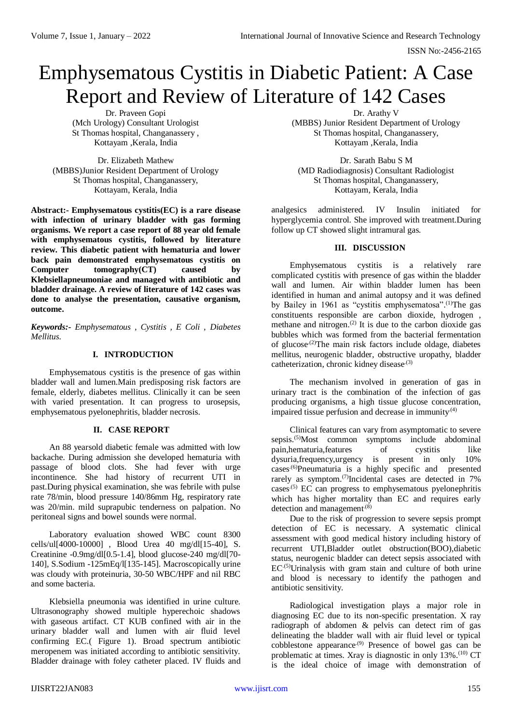ISSN No:-2456-2165

# Emphysematous Cystitis in Diabetic Patient: A Case Report and Review of Literature of 142 Cases

Dr. Praveen Gopi (Mch Urology) Consultant Urologist St Thomas hospital, Changanassery , Kottayam ,Kerala, India

Dr. Elizabeth Mathew (MBBS)Junior Resident Department of Urology St Thomas hospital, Changanassery, Kottayam, Kerala, India

**Abstract:- Emphysematous cystitis(EC) is a rare disease with infection of urinary bladder with gas forming organisms. We report a case report of 88 year old female with emphysematous cystitis, followed by literature review. This diabetic patient with hematuria and lower back pain demonstrated emphysematous cystitis on Computer tomography(CT) caused by Klebsiellapneumoniae and managed with antibiotic and bladder drainage. A review of literature of 142 cases was done to analyse the presentation, causative organism, outcome.**

*Keywords:- Emphysematous , Cystitis , E Coli , Diabetes Mellitus.*

# **I. INTRODUCTION**

Emphysematous cystitis is the presence of gas within bladder wall and lumen.Main predisposing risk factors are female, elderly, diabetes mellitus. Clinically it can be seen with varied presentation. It can progress to urosepsis, emphysematous pyelonephritis, bladder necrosis.

# **II. CASE REPORT**

An 88 yearsold diabetic female was admitted with low backache. During admission she developed hematuria with passage of blood clots. She had fever with urge incontinence. She had history of recurrent UTI in past.During physical examination, she was febrile with pulse rate 78/min, blood pressure 140/86mm Hg, respiratory rate was 20/min. mild suprapubic tenderness on palpation. No peritoneal signs and bowel sounds were normal.

Laboratory evaluation showed WBC count 8300 cells/ul[4000-10000] , Blood Urea 40 mg/dl[15-40], S. Creatinine -0.9mg/dl[0.5-1.4], blood glucose-240 mg/dl[70- 140], S.Sodium -125mEq/l[135-145]. Macroscopically urine was cloudy with proteinuria, 30-50 WBC/HPF and nil RBC and some bacteria.

Klebsiella pneumonia was identified in urine culture. Ultrasonography showed multiple hyperechoic shadows with gaseous artifact. CT KUB confined with air in the urinary bladder wall and lumen with air fluid level confirming EC.( Figure 1). Broad spectrum antibiotic meropenem was initiated according to antibiotic sensitivity. Bladder drainage with foley catheter placed. IV fluids and

Dr. Arathy V (MBBS) Junior Resident Department of Urology St Thomas hospital, Changanassery, Kottayam ,Kerala, India

Dr. Sarath Babu S M (MD Radiodiagnosis) Consultant Radiologist St Thomas hospital, Changanassery, Kottayam, Kerala, India

analgesics administered. IV Insulin initiated for hyperglycemia control. She improved with treatment.During follow up CT showed slight intramural gas.

# **III. DISCUSSION**

Emphysematous cystitis is a relatively rare complicated cystitis with presence of gas within the bladder wall and lumen. Air within bladder lumen has been identified in human and animal autopsy and it was defined by Bailey in 1961 as "cystitis emphysematosa".<sup>(1)</sup>The gas constituents responsible are carbon dioxide, hydrogen , methane and nitrogen.<sup>(2)</sup> It is due to the carbon dioxide gas bubbles which was formed from the bacterial fermentation of glucose<sup> $(2)$ </sup>The main risk factors include oldage, diabetes mellitus, neurogenic bladder, obstructive uropathy, bladder catheterization, chronic kidney disease.<sup>(3)</sup>

The mechanism involved in generation of gas in urinary tract is the combination of the infection of gas producing organisms, a high tissue glucose concentration, impaired tissue perfusion and decrease in immunity.<sup>(4)</sup>

Clinical features can vary from asymptomatic to severe sepsis.<sup>(5)</sup>Most common symptoms include abdominal pain,hematuria,features of cystitis like dysuria,frequency,urgency is present in only 10% cases.(6)Pneumaturia is a highly specific and presented rarely as symptom.<sup>(7)</sup>Incidental cases are detected in 7% cases<sup>.(5)</sup> EC can progress to emphysematous pyelonephritis which has higher mortality than EC and requires early detection and management<sup> $(8)$ </sup>

Due to the risk of progression to severe sepsis prompt detection of EC is necessary. A systematic clinical assessment with good medical history including history of recurrent UTI,Bladder outlet obstruction(BOO),diabetic status, neurogenic bladder can detect sepsis associated with EC.(5)Urinalysis with gram stain and culture of both urine and blood is necessary to identify the pathogen and antibiotic sensitivity.

Radiological investigation plays a major role in diagnosing EC due to its non-specific presentation. X ray radiograph of abdomen & pelvis can detect rim of gas delineating the bladder wall with air fluid level or typical cobblestone appearance.(9) Presence of bowel gas can be problematic at times. Xray is diagnostic in only 13%.<sup>(10)</sup> CT is the ideal choice of image with demonstration of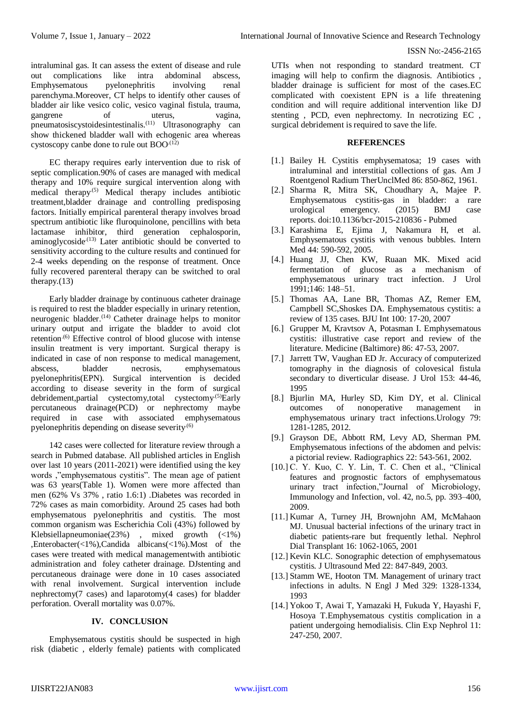#### ISSN No:-2456-2165

intraluminal gas. It can assess the extent of disease and rule out complications like intra abdominal abscess, Emphysematous pyelonephritis involving renal parenchyma.Moreover, CT helps to identify other causes of bladder air like vesico colic, vesico vaginal fistula, trauma, gangrene of uterus, vagina, pneumatosiscystoidesintestinalis.<sup>(11)</sup> Ultrasonography can show thickened bladder wall with echogenic area whereas cystoscopy canbe done to rule out  $BOO^{(12)}$ 

EC therapy requires early intervention due to risk of septic complication.90% of cases are managed with medical therapy and 10% require surgical intervention along with medical therapy.(5) Medical therapy includes antibiotic treatment,bladder drainage and controlling predisposing factors. Initially empirical parenteral therapy involves broad spectrum antibiotic like fluroquinolone, pencillins with beta lactamase inhibitor, third generation cephalosporin, aminoglycoside<sup> $(13)$ </sup> Later antibiotic should be converted to sensitivity according to the culture results and continued for 2-4 weeks depending on the response of treatment. Once fully recovered parenteral therapy can be switched to oral therapy.(13)

Early bladder drainage by continuous catheter drainage is required to rest the bladder especially in urinary retention, neurogenic bladder. (14) Catheter drainage helps to monitor urinary output and irrigate the bladder to avoid clot retention.<sup>(6)</sup> Effective control of blood glucose with intense insulin treatment is very important. Surgical therapy is indicated in case of non response to medical management, abscess, bladder necrosis, emphysematous pyelonephritis(EPN). Surgical intervention is decided according to disease severity in the form of surgical debridement,partial cystectomy,total cystectomy.(5)Early percutaneous drainage(PCD) or nephrectomy maybe required in case with associated emphysematous pyelonephritis depending on disease severity.<sup>(6)</sup>

142 cases were collected for literature review through a search in Pubmed database. All published articles in English over last 10 years (2011-2021) were identified using the key words ,"emphysematous cystitis". The mean age of patient was 63 years(Table 1). Women were more affected than men (62% Vs 37% , ratio 1.6:1) .Diabetes was recorded in 72% cases as main comorbidity. Around 25 cases had both emphysematous pyelonephritis and cystitis. The most common organism was Escherichia Coli (43%) followed by Klebsiellapneumoniae(23%) , mixed growth (<1%) ,Enterobacter(<1%),Candida albicans(<1%).Most of the cases were treated with medical managementwith antibiotic administration and foley catheter drainage. DJstenting and percutaneous drainage were done in 10 cases associated with renal involvement. Surgical intervention include nephrectomy(7 cases) and laparotomy(4 cases) for bladder perforation. Overall mortality was 0.07%.

# **IV. CONCLUSION**

Emphysematous cystitis should be suspected in high risk (diabetic , elderly female) patients with complicated

UTIs when not responding to standard treatment. CT imaging will help to confirm the diagnosis. Antibiotics , bladder drainage is sufficient for most of the cases.EC complicated with coexistent EPN is a life threatening condition and will require additional intervention like DJ stenting , PCD, even nephrectomy. In necrotizing EC , surgical debridement is required to save the life.

# **REFERENCES**

- [1.] Bailey H. Cystitis emphysematosa; 19 cases with intraluminal and interstitial collections of gas. Am J Roentgenol Radium TherUnclMed 86: 850-862, 1961.
- [2.] Sharma R, Mitra SK, Choudhary A, Majee P. Emphysematous cystitis-gas in bladder: a rare urological emergency. (2015) BMJ case reports. [doi:10.1136/bcr-2015-210836](https://doi.org/10.1136/bcr-2015-210836) - [Pubmed](https://www.ncbi.nlm.nih.gov/pubmed/26206783)
- [3.] Karashima E, Ejima J, Nakamura H, et al. Emphysematous cystitis with venous bubbles. Intern Med 44: 590-592, 2005.
- [4.] Huang JJ, Chen KW, Ruaan MK. Mixed acid fermentation of glucose as a mechanism of emphysematous urinary tract infection. J Urol 1991;146: 148–51.
- [5.] Thomas AA, Lane BR, Thomas AZ, Remer EM, Campbell SC,Shoskes DA. Emphysematous cystitis: a review of 135 cases. BJU Int 100: 17-20, 2007
- [6.] Grupper M, Kravtsov A, Potasman I. Emphysematous cystitis: illustrative case report and review of the literature. Medicine (Baltimore) 86: 47-53, 2007.
- [7.] Jarrett TW, Vaughan ED Jr. Accuracy of computerized tomography in the diagnosis of colovesical fistula secondary to diverticular disease. J Urol 153: 44-46, 1995
- [8.] Bjurlin MA, Hurley SD, Kim DY, et al. Clinical outcomes of nonoperative management in emphysematous urinary tract infections.Urology 79: 1281-1285, 2012.
- [9.] Grayson DE, Abbott RM, Levy AD, Sherman PM. Emphysematous infections of the abdomen and pelvis: a pictorial review. Radiographics 22: 543-561, 2002.
- [10.] C. Y. Kuo, C. Y. Lin, T. C. Chen et al., "Clinical features and prognostic factors of emphysematous urinary tract infection,"Journal of Microbiology, Immunology and Infection, vol. 42, no.5, pp. 393–400, 2009.
- [11.] Kumar A, Turney JH, Brownjohn AM, McMahaon MJ. Unusual bacterial infections of the urinary tract in diabetic patients-rare but frequently lethal. Nephrol Dial Transplant 16: 1062-1065, 2001
- [12.] Kevin KLC. Sonographic detection of emphysematous cystitis. J Ultrasound Med 22: 847-849, 2003.
- [13.] Stamm WE, Hooton TM. Management of urinary tract infections in adults. N Engl J Med 329: 1328-1334, 1993
- [14.] Yokoo T, Awai T, Yamazaki H, Fukuda Y, Hayashi F, Hosoya T.Emphysematous cystitis complication in a patient undergoing hemodialisis. Clin Exp Nephrol 11: 247-250, 2007.